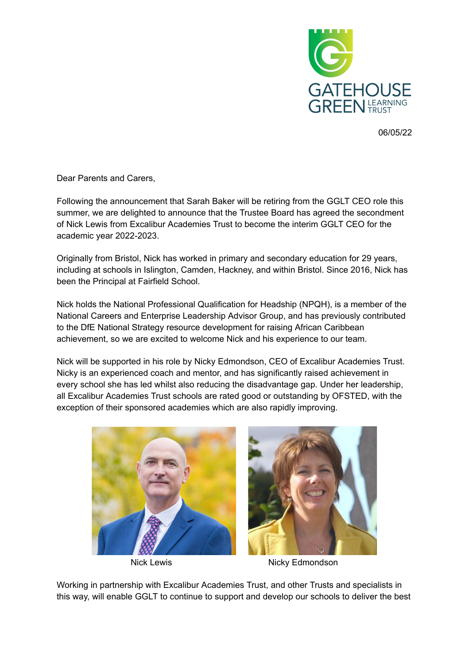

06/05/22

Dear Parents and Carers,

Following the announcement that Sarah Baker will be retiring from the GGLT CEO role this summer, we are delighted to announce that the Trustee Board has agreed the secondment of Nick Lewis from Excalibur Academies Trust to become the interim GGLT CEO for the academic year 2022-2023.

Originally from Bristol, Nick has worked in primary and secondary education for 29 years, including at schools in Islington, Camden, Hackney, and within Bristol. Since 2016, Nick has been the Principal at Fairfield School.

Nick holds the National Professional Qualification for Headship (NPQH), is a member of the National Careers and Enterprise Leadership Advisor Group, and has previously contributed to the DfE National Strategy resource development for raising African Caribbean achievement, so we are excited to welcome Nick and his experience to our team.

Nick will be supported in his role by Nicky Edmondson, CEO of Excalibur Academies Trust. Nicky is an experienced coach and mentor, and has significantly raised achievement in every school she has led whilst also reducing the disadvantage gap. Under her leadership, all Excalibur Academies Trust schools are rated good or outstanding by OFSTED, with the exception of their sponsored academies which are also rapidly improving.





Nick Lewis **Nicky Edmondson** 

Working in partnership with Excalibur Academies Trust, and other Trusts and specialists in this way, will enable GGLT to continue to support and develop our schools to deliver the best